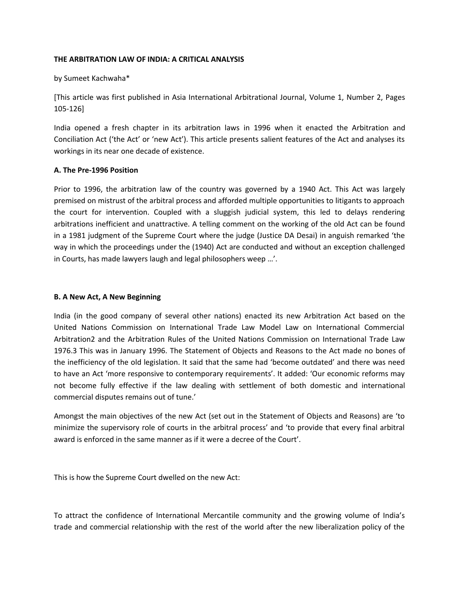#### **THE ARBITRATION LAW OF INDIA: A CRITICAL ANALYSIS**

by Sumeet Kachwaha\*

[This article was first published in Asia International Arbitrational Journal, Volume 1, Number 2, Pages 105-126]

India opened a fresh chapter in its arbitration laws in 1996 when it enacted the Arbitration and Conciliation Act ('the Act' or 'new Act'). This article presents salient features of the Act and analyses its workings in its near one decade of existence.

#### **A. The Pre-1996 Position**

Prior to 1996, the arbitration law of the country was governed by a 1940 Act. This Act was largely premised on mistrust of the arbitral process and afforded multiple opportunities to litigants to approach the court for intervention. Coupled with a sluggish judicial system, this led to delays rendering arbitrations inefficient and unattractive. A telling comment on the working of the old Act can be found in a 1981 judgment of the Supreme Court where the judge (Justice DA Desai) in anguish remarked 'the way in which the proceedings under the (1940) Act are conducted and without an exception challenged in Courts, has made lawyers laugh and legal philosophers weep …'.

#### **B. A New Act, A New Beginning**

India (in the good company of several other nations) enacted its new Arbitration Act based on the United Nations Commission on International Trade Law Model Law on International Commercial Arbitration2 and the Arbitration Rules of the United Nations Commission on International Trade Law 1976.3 This was in January 1996. The Statement of Objects and Reasons to the Act made no bones of the inefficiency of the old legislation. It said that the same had 'become outdated' and there was need to have an Act 'more responsive to contemporary requirements'. It added: 'Our economic reforms may not become fully effective if the law dealing with settlement of both domestic and international commercial disputes remains out of tune.'

Amongst the main objectives of the new Act (set out in the Statement of Objects and Reasons) are 'to minimize the supervisory role of courts in the arbitral process' and 'to provide that every final arbitral award is enforced in the same manner as if it were a decree of the Court'.

This is how the Supreme Court dwelled on the new Act:

To attract the confidence of International Mercantile community and the growing volume of India's trade and commercial relationship with the rest of the world after the new liberalization policy of the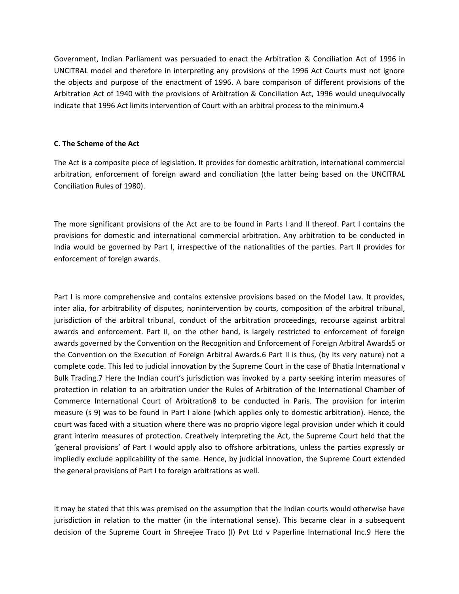Government, Indian Parliament was persuaded to enact the Arbitration & Conciliation Act of 1996 in UNCITRAL model and therefore in interpreting any provisions of the 1996 Act Courts must not ignore the objects and purpose of the enactment of 1996. A bare comparison of different provisions of the Arbitration Act of 1940 with the provisions of Arbitration & Conciliation Act, 1996 would unequivocally indicate that 1996 Act limits intervention of Court with an arbitral process to the minimum.4

#### **C. The Scheme of the Act**

The Act is a composite piece of legislation. It provides for domestic arbitration, international commercial arbitration, enforcement of foreign award and conciliation (the latter being based on the UNCITRAL Conciliation Rules of 1980).

The more significant provisions of the Act are to be found in Parts I and II thereof. Part I contains the provisions for domestic and international commercial arbitration. Any arbitration to be conducted in India would be governed by Part I, irrespective of the nationalities of the parties. Part II provides for enforcement of foreign awards.

Part I is more comprehensive and contains extensive provisions based on the Model Law. It provides, inter alia, for arbitrability of disputes, nonintervention by courts, composition of the arbitral tribunal, jurisdiction of the arbitral tribunal, conduct of the arbitration proceedings, recourse against arbitral awards and enforcement. Part II, on the other hand, is largely restricted to enforcement of foreign awards governed by the Convention on the Recognition and Enforcement of Foreign Arbitral Awards5 or the Convention on the Execution of Foreign Arbitral Awards.6 Part II is thus, (by its very nature) not a complete code. This led to judicial innovation by the Supreme Court in the case of Bhatia International v Bulk Trading.7 Here the Indian court's jurisdiction was invoked by a party seeking interim measures of protection in relation to an arbitration under the Rules of Arbitration of the International Chamber of Commerce International Court of Arbitration8 to be conducted in Paris. The provision for interim measure (s 9) was to be found in Part I alone (which applies only to domestic arbitration). Hence, the court was faced with a situation where there was no proprio vigore legal provision under which it could grant interim measures of protection. Creatively interpreting the Act, the Supreme Court held that the 'general provisions' of Part I would apply also to offshore arbitrations, unless the parties expressly or impliedly exclude applicability of the same. Hence, by judicial innovation, the Supreme Court extended the general provisions of Part I to foreign arbitrations as well.

It may be stated that this was premised on the assumption that the Indian courts would otherwise have jurisdiction in relation to the matter (in the international sense). This became clear in a subsequent decision of the Supreme Court in Shreejee Traco (I) Pvt Ltd v Paperline International Inc.9 Here the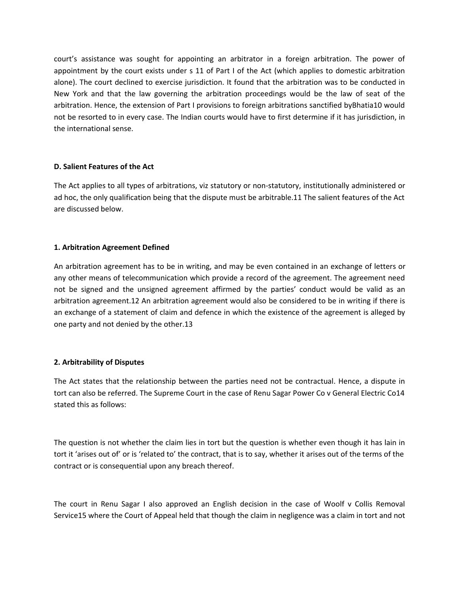court's assistance was sought for appointing an arbitrator in a foreign arbitration. The power of appointment by the court exists under s 11 of Part I of the Act (which applies to domestic arbitration alone). The court declined to exercise jurisdiction. It found that the arbitration was to be conducted in New York and that the law governing the arbitration proceedings would be the law of seat of the arbitration. Hence, the extension of Part I provisions to foreign arbitrations sanctified byBhatia10 would not be resorted to in every case. The Indian courts would have to first determine if it has jurisdiction, in the international sense.

# **D. Salient Features of the Act**

The Act applies to all types of arbitrations, viz statutory or non-statutory, institutionally administered or ad hoc, the only qualification being that the dispute must be arbitrable.11 The salient features of the Act are discussed below.

# **1. Arbitration Agreement Defined**

An arbitration agreement has to be in writing, and may be even contained in an exchange of letters or any other means of telecommunication which provide a record of the agreement. The agreement need not be signed and the unsigned agreement affirmed by the parties' conduct would be valid as an arbitration agreement.12 An arbitration agreement would also be considered to be in writing if there is an exchange of a statement of claim and defence in which the existence of the agreement is alleged by one party and not denied by the other.13

# **2. Arbitrability of Disputes**

The Act states that the relationship between the parties need not be contractual. Hence, a dispute in tort can also be referred. The Supreme Court in the case of Renu Sagar Power Co v General Electric Co14 stated this as follows:

The question is not whether the claim lies in tort but the question is whether even though it has lain in tort it 'arises out of' or is 'related to' the contract, that is to say, whether it arises out of the terms of the contract or is consequential upon any breach thereof.

The court in Renu Sagar I also approved an English decision in the case of Woolf v Collis Removal Service15 where the Court of Appeal held that though the claim in negligence was a claim in tort and not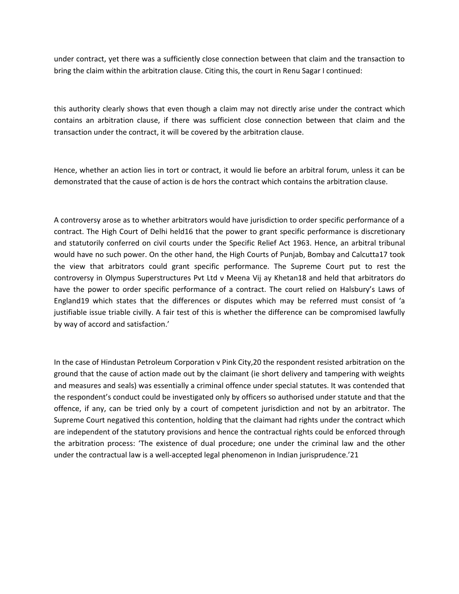under contract, yet there was a sufficiently close connection between that claim and the transaction to bring the claim within the arbitration clause. Citing this, the court in Renu Sagar I continued:

this authority clearly shows that even though a claim may not directly arise under the contract which contains an arbitration clause, if there was sufficient close connection between that claim and the transaction under the contract, it will be covered by the arbitration clause.

Hence, whether an action lies in tort or contract, it would lie before an arbitral forum, unless it can be demonstrated that the cause of action is de hors the contract which contains the arbitration clause.

A controversy arose as to whether arbitrators would have jurisdiction to order specific performance of a contract. The High Court of Delhi held16 that the power to grant specific performance is discretionary and statutorily conferred on civil courts under the Specific Relief Act 1963. Hence, an arbitral tribunal would have no such power. On the other hand, the High Courts of Punjab, Bombay and Calcutta17 took the view that arbitrators could grant specific performance. The Supreme Court put to rest the controversy in Olympus Superstructures Pvt Ltd v Meena Vij ay Khetan18 and held that arbitrators do have the power to order specific performance of a contract. The court relied on Halsbury's Laws of England19 which states that the differences or disputes which may be referred must consist of 'a justifiable issue triable civilly. A fair test of this is whether the difference can be compromised lawfully by way of accord and satisfaction.'

In the case of Hindustan Petroleum Corporation v Pink City,20 the respondent resisted arbitration on the ground that the cause of action made out by the claimant (ie short delivery and tampering with weights and measures and seals) was essentially a criminal offence under special statutes. It was contended that the respondent's conduct could be investigated only by officers so authorised under statute and that the offence, if any, can be tried only by a court of competent jurisdiction and not by an arbitrator. The Supreme Court negatived this contention, holding that the claimant had rights under the contract which are independent of the statutory provisions and hence the contractual rights could be enforced through the arbitration process: 'The existence of dual procedure; one under the criminal law and the other under the contractual law is a well-accepted legal phenomenon in Indian jurisprudence.'21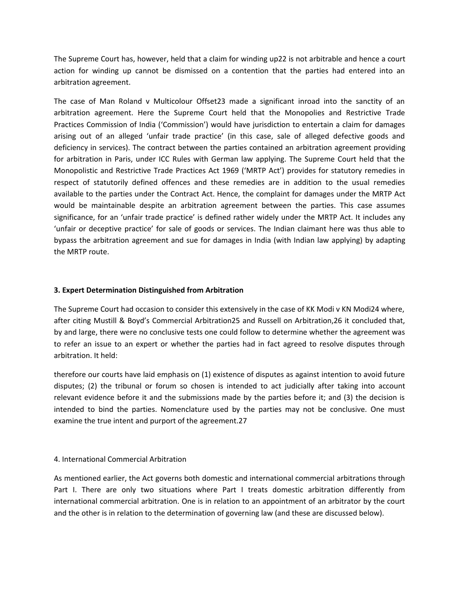The Supreme Court has, however, held that a claim for winding up22 is not arbitrable and hence a court action for winding up cannot be dismissed on a contention that the parties had entered into an arbitration agreement.

The case of Man Roland v Multicolour Offset23 made a significant inroad into the sanctity of an arbitration agreement. Here the Supreme Court held that the Monopolies and Restrictive Trade Practices Commission of India ('Commission') would have jurisdiction to entertain a claim for damages arising out of an alleged 'unfair trade practice' (in this case, sale of alleged defective goods and deficiency in services). The contract between the parties contained an arbitration agreement providing for arbitration in Paris, under ICC Rules with German law applying. The Supreme Court held that the Monopolistic and Restrictive Trade Practices Act 1969 ('MRTP Act') provides for statutory remedies in respect of statutorily defined offences and these remedies are in addition to the usual remedies available to the parties under the Contract Act. Hence, the complaint for damages under the MRTP Act would be maintainable despite an arbitration agreement between the parties. This case assumes significance, for an 'unfair trade practice' is defined rather widely under the MRTP Act. It includes any 'unfair or deceptive practice' for sale of goods or services. The Indian claimant here was thus able to bypass the arbitration agreement and sue for damages in India (with Indian law applying) by adapting the MRTP route.

# **3. Expert Determination Distinguished from Arbitration**

The Supreme Court had occasion to consider this extensively in the case of KK Modi v KN Modi24 where, after citing Mustill & Boyd's Commercial Arbitration25 and Russell on Arbitration,26 it concluded that, by and large, there were no conclusive tests one could follow to determine whether the agreement was to refer an issue to an expert or whether the parties had in fact agreed to resolve disputes through arbitration. It held:

therefore our courts have laid emphasis on (1) existence of disputes as against intention to avoid future disputes; (2) the tribunal or forum so chosen is intended to act judicially after taking into account relevant evidence before it and the submissions made by the parties before it; and (3) the decision is intended to bind the parties. Nomenclature used by the parties may not be conclusive. One must examine the true intent and purport of the agreement.27

#### 4. International Commercial Arbitration

As mentioned earlier, the Act governs both domestic and international commercial arbitrations through Part I. There are only two situations where Part I treats domestic arbitration differently from international commercial arbitration. One is in relation to an appointment of an arbitrator by the court and the other is in relation to the determination of governing law (and these are discussed below).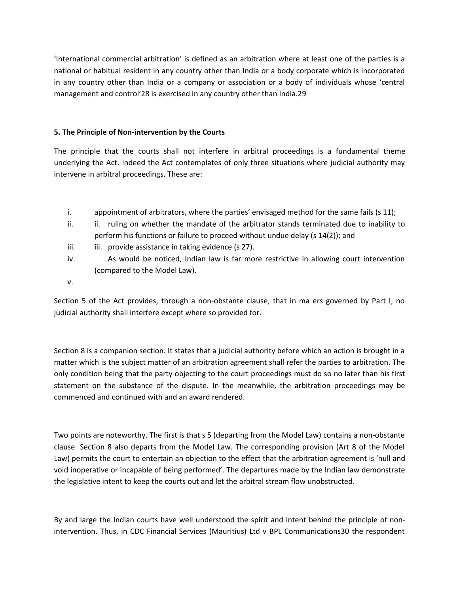'International commercial arbitration' is defined as an arbitration where at least one of the parties is a national or habitual resident in any country other than India or a body corporate which is incorporated in any country other than India or a company or association or a body of individuals whose 'central management and control'28 is exercised in any country other than India.29

# **5. The Principle of Non-intervention by the Courts**

The principle that the courts shall not interfere in arbitral proceedings is a fundamental theme underlying the Act. Indeed the Act contemplates of only three situations where judicial authority may intervene in arbitral proceedings. These are:

- i. appointment of arbitrators, where the parties' envisaged method for the same fails (s 11);
- ii. ii. ruling on whether the mandate of the arbitrator stands terminated due to inability to perform his functions or failure to proceed without undue delay (s 14(2)); and
- iii. iii. provide assistance in taking evidence (s 27).
- iv. As would be noticed, Indian law is far more restrictive in allowing court intervention (compared to the Model Law).
- v.

Section 5 of the Act provides, through a non-obstante clause, that in ma ers governed by Part I, no judicial authority shall interfere except where so provided for.

Section 8 is a companion section. It states that a judicial authority before which an action is brought in a matter which is the subject matter of an arbitration agreement shall refer the parties to arbitration. The only condition being that the party objecting to the court proceedings must do so no later than his first statement on the substance of the dispute. In the meanwhile, the arbitration proceedings may be commenced and continued with and an award rendered.

Two points are noteworthy. The first is that s 5 (departing from the Model Law) contains a non-obstante clause. Section 8 also departs from the Model Law. The corresponding provision (Art 8 of the Model Law) permits the court to entertain an objection to the effect that the arbitration agreement is 'null and void inoperative or incapable of being performed'. The departures made by the Indian law demonstrate the legislative intent to keep the courts out and let the arbitral stream flow unobstructed.

By and large the Indian courts have well understood the spirit and intent behind the principle of nonintervention. Thus, in CDC Financial Services (Mauritius) Ltd v BPL Communications30 the respondent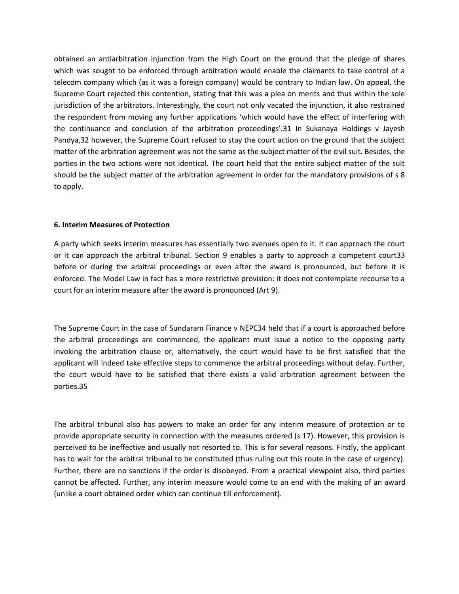obtained an antiarbitration injunction from the High Court on the ground that the pledge of shares which was sought to be enforced through arbitration would enable the claimants to take control of a telecom company which (as it was a foreign company) would be contrary to Indian law. On appeal, the Supreme Court rejected this contention, stating that this was a plea on merits and thus within the sole jurisdiction of the arbitrators. Interestingly, the court not only vacated the injunction, it also restrained the respondent from moving any further applications 'which would have the effect of interfering with the continuance and conclusion of the arbitration proceedings'.31 In Sukanaya Holdings v Jayesh Pandya,32 however, the Supreme Court refused to stay the court action on the ground that the subject matter of the arbitration agreement was not the same as the subject matter of the civil suit. Besides, the parties in the two actions were not identical. The court held that the entire subject matter of the suit should be the subject matter of the arbitration agreement in order for the mandatory provisions of s 8 to apply.

#### **6. Interim Measures of Protection**

A party which seeks interim measures has essentially two avenues open to it. It can approach the court or it can approach the arbitral tribunal. Section 9 enables a party to approach a competent court33 before or during the arbitral proceedings or even after the award is pronounced, but before it is enforced. The Model Law in fact has a more restrictive provision: it does not contemplate recourse to a court for an interim measure after the award is pronounced (Art 9).

The Supreme Court in the case of Sundaram Finance v NEPC34 held that if a court is approached before the arbitral proceedings are commenced, the applicant must issue a notice to the opposing party invoking the arbitration clause or, alternatively, the court would have to be first satisfied that the applicant will indeed take effective steps to commence the arbitral proceedings without delay. Further, the court would have to be satisfied that there exists a valid arbitration agreement between the parties.35

The arbitral tribunal also has powers to make an order for any interim measure of protection or to provide appropriate security in connection with the measures ordered (s 17). However, this provision is perceived to be ineffective and usually not resorted to. This is for several reasons. Firstly, the applicant has to wait for the arbitral tribunal to be constituted (thus ruling out this route in the case of urgency). Further, there are no sanctions if the order is disobeyed. From a practical viewpoint also, third parties cannot be affected. Further, any interim measure would come to an end with the making of an award (unlike a court obtained order which can continue till enforcement).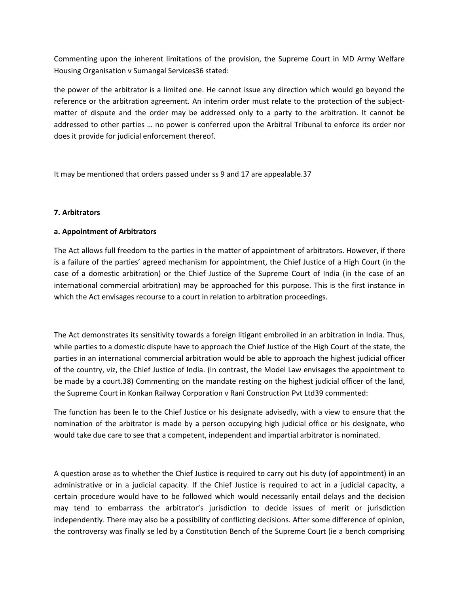Commenting upon the inherent limitations of the provision, the Supreme Court in MD Army Welfare Housing Organisation v Sumangal Services36 stated:

the power of the arbitrator is a limited one. He cannot issue any direction which would go beyond the reference or the arbitration agreement. An interim order must relate to the protection of the subjectmatter of dispute and the order may be addressed only to a party to the arbitration. It cannot be addressed to other parties … no power is conferred upon the Arbitral Tribunal to enforce its order nor does it provide for judicial enforcement thereof.

It may be mentioned that orders passed under ss 9 and 17 are appealable.37

# **7. Arbitrators**

# **a. Appointment of Arbitrators**

The Act allows full freedom to the parties in the matter of appointment of arbitrators. However, if there is a failure of the parties' agreed mechanism for appointment, the Chief Justice of a High Court (in the case of a domestic arbitration) or the Chief Justice of the Supreme Court of India (in the case of an international commercial arbitration) may be approached for this purpose. This is the first instance in which the Act envisages recourse to a court in relation to arbitration proceedings.

The Act demonstrates its sensitivity towards a foreign litigant embroiled in an arbitration in India. Thus, while parties to a domestic dispute have to approach the Chief Justice of the High Court of the state, the parties in an international commercial arbitration would be able to approach the highest judicial officer of the country, viz, the Chief Justice of India. (In contrast, the Model Law envisages the appointment to be made by a court.38) Commenting on the mandate resting on the highest judicial officer of the land, the Supreme Court in Konkan Railway Corporation v Rani Construction Pvt Ltd39 commented:

The function has been le to the Chief Justice or his designate advisedly, with a view to ensure that the nomination of the arbitrator is made by a person occupying high judicial office or his designate, who would take due care to see that a competent, independent and impartial arbitrator is nominated.

A question arose as to whether the Chief Justice is required to carry out his duty (of appointment) in an administrative or in a judicial capacity. If the Chief Justice is required to act in a judicial capacity, a certain procedure would have to be followed which would necessarily entail delays and the decision may tend to embarrass the arbitrator's jurisdiction to decide issues of merit or jurisdiction independently. There may also be a possibility of conflicting decisions. After some difference of opinion, the controversy was finally se led by a Constitution Bench of the Supreme Court (ie a bench comprising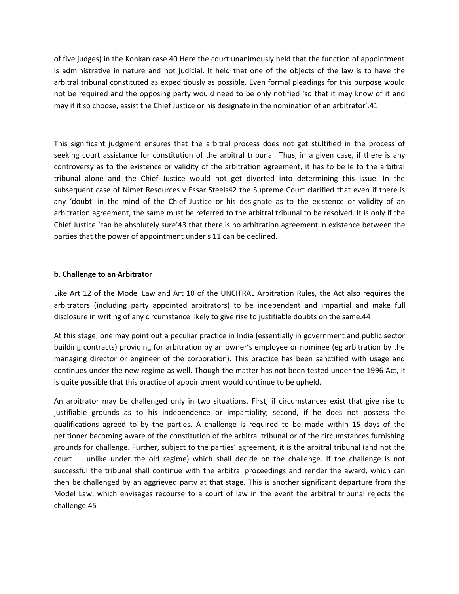of five judges) in the Konkan case.40 Here the court unanimously held that the function of appointment is administrative in nature and not judicial. It held that one of the objects of the law is to have the arbitral tribunal constituted as expeditiously as possible. Even formal pleadings for this purpose would not be required and the opposing party would need to be only notified 'so that it may know of it and may if it so choose, assist the Chief Justice or his designate in the nomination of an arbitrator'.41

This significant judgment ensures that the arbitral process does not get stultified in the process of seeking court assistance for constitution of the arbitral tribunal. Thus, in a given case, if there is any controversy as to the existence or validity of the arbitration agreement, it has to be le to the arbitral tribunal alone and the Chief Justice would not get diverted into determining this issue. In the subsequent case of Nimet Resources v Essar Steels42 the Supreme Court clarified that even if there is any 'doubt' in the mind of the Chief Justice or his designate as to the existence or validity of an arbitration agreement, the same must be referred to the arbitral tribunal to be resolved. It is only if the Chief Justice 'can be absolutely sure'43 that there is no arbitration agreement in existence between the parties that the power of appointment under s 11 can be declined.

# **b. Challenge to an Arbitrator**

Like Art 12 of the Model Law and Art 10 of the UNCITRAL Arbitration Rules, the Act also requires the arbitrators (including party appointed arbitrators) to be independent and impartial and make full disclosure in writing of any circumstance likely to give rise to justifiable doubts on the same.44

At this stage, one may point out a peculiar practice in India (essentially in government and public sector building contracts) providing for arbitration by an owner's employee or nominee (eg arbitration by the managing director or engineer of the corporation). This practice has been sanctified with usage and continues under the new regime as well. Though the matter has not been tested under the 1996 Act, it is quite possible that this practice of appointment would continue to be upheld.

An arbitrator may be challenged only in two situations. First, if circumstances exist that give rise to justifiable grounds as to his independence or impartiality; second, if he does not possess the qualifications agreed to by the parties. A challenge is required to be made within 15 days of the petitioner becoming aware of the constitution of the arbitral tribunal or of the circumstances furnishing grounds for challenge. Further, subject to the parties' agreement, it is the arbitral tribunal (and not the court — unlike under the old regime) which shall decide on the challenge. If the challenge is not successful the tribunal shall continue with the arbitral proceedings and render the award, which can then be challenged by an aggrieved party at that stage. This is another significant departure from the Model Law, which envisages recourse to a court of law in the event the arbitral tribunal rejects the challenge.45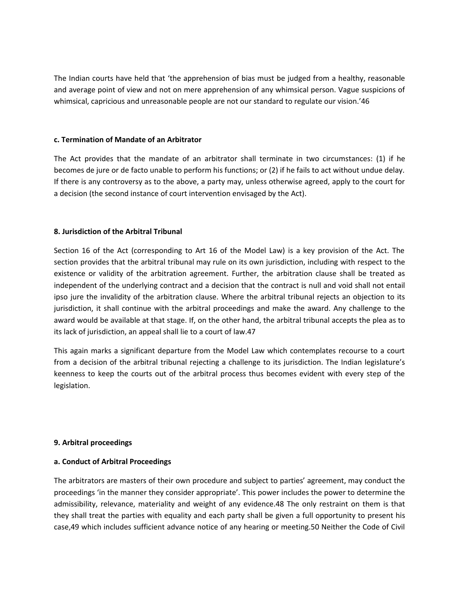The Indian courts have held that 'the apprehension of bias must be judged from a healthy, reasonable and average point of view and not on mere apprehension of any whimsical person. Vague suspicions of whimsical, capricious and unreasonable people are not our standard to regulate our vision.'46

#### **c. Termination of Mandate of an Arbitrator**

The Act provides that the mandate of an arbitrator shall terminate in two circumstances: (1) if he becomes de jure or de facto unable to perform his functions; or (2) if he fails to act without undue delay. If there is any controversy as to the above, a party may, unless otherwise agreed, apply to the court for a decision (the second instance of court intervention envisaged by the Act).

# **8. Jurisdiction of the Arbitral Tribunal**

Section 16 of the Act (corresponding to Art 16 of the Model Law) is a key provision of the Act. The section provides that the arbitral tribunal may rule on its own jurisdiction, including with respect to the existence or validity of the arbitration agreement. Further, the arbitration clause shall be treated as independent of the underlying contract and a decision that the contract is null and void shall not entail ipso jure the invalidity of the arbitration clause. Where the arbitral tribunal rejects an objection to its jurisdiction, it shall continue with the arbitral proceedings and make the award. Any challenge to the award would be available at that stage. If, on the other hand, the arbitral tribunal accepts the plea as to its lack of jurisdiction, an appeal shall lie to a court of law.47

This again marks a significant departure from the Model Law which contemplates recourse to a court from a decision of the arbitral tribunal rejecting a challenge to its jurisdiction. The Indian legislature's keenness to keep the courts out of the arbitral process thus becomes evident with every step of the legislation.

# **9. Arbitral proceedings**

# **a. Conduct of Arbitral Proceedings**

The arbitrators are masters of their own procedure and subject to parties' agreement, may conduct the proceedings 'in the manner they consider appropriate'. This power includes the power to determine the admissibility, relevance, materiality and weight of any evidence.48 The only restraint on them is that they shall treat the parties with equality and each party shall be given a full opportunity to present his case,49 which includes sufficient advance notice of any hearing or meeting.50 Neither the Code of Civil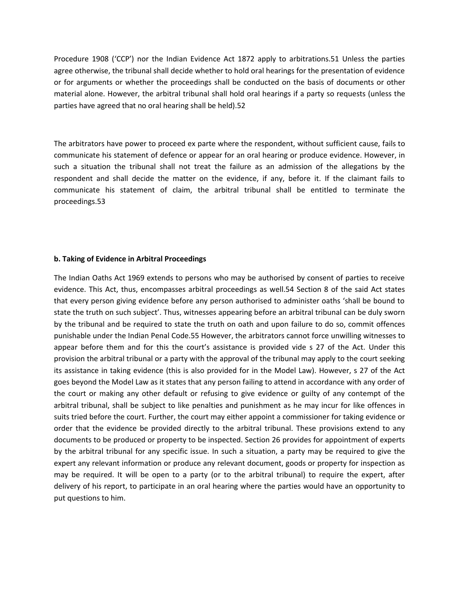Procedure 1908 ('CCP') nor the Indian Evidence Act 1872 apply to arbitrations.51 Unless the parties agree otherwise, the tribunal shall decide whether to hold oral hearings for the presentation of evidence or for arguments or whether the proceedings shall be conducted on the basis of documents or other material alone. However, the arbitral tribunal shall hold oral hearings if a party so requests (unless the parties have agreed that no oral hearing shall be held).52

The arbitrators have power to proceed ex parte where the respondent, without sufficient cause, fails to communicate his statement of defence or appear for an oral hearing or produce evidence. However, in such a situation the tribunal shall not treat the failure as an admission of the allegations by the respondent and shall decide the matter on the evidence, if any, before it. If the claimant fails to communicate his statement of claim, the arbitral tribunal shall be entitled to terminate the proceedings.53

#### **b. Taking of Evidence in Arbitral Proceedings**

The Indian Oaths Act 1969 extends to persons who may be authorised by consent of parties to receive evidence. This Act, thus, encompasses arbitral proceedings as well.54 Section 8 of the said Act states that every person giving evidence before any person authorised to administer oaths 'shall be bound to state the truth on such subject'. Thus, witnesses appearing before an arbitral tribunal can be duly sworn by the tribunal and be required to state the truth on oath and upon failure to do so, commit offences punishable under the Indian Penal Code.55 However, the arbitrators cannot force unwilling witnesses to appear before them and for this the court's assistance is provided vide s 27 of the Act. Under this provision the arbitral tribunal or a party with the approval of the tribunal may apply to the court seeking its assistance in taking evidence (this is also provided for in the Model Law). However, s 27 of the Act goes beyond the Model Law as it states that any person failing to attend in accordance with any order of the court or making any other default or refusing to give evidence or guilty of any contempt of the arbitral tribunal, shall be subject to like penalties and punishment as he may incur for like offences in suits tried before the court. Further, the court may either appoint a commissioner for taking evidence or order that the evidence be provided directly to the arbitral tribunal. These provisions extend to any documents to be produced or property to be inspected. Section 26 provides for appointment of experts by the arbitral tribunal for any specific issue. In such a situation, a party may be required to give the expert any relevant information or produce any relevant document, goods or property for inspection as may be required. It will be open to a party (or to the arbitral tribunal) to require the expert, after delivery of his report, to participate in an oral hearing where the parties would have an opportunity to put questions to him.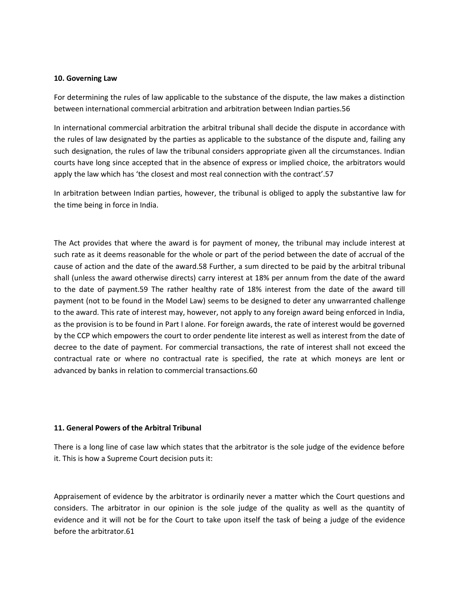#### **10. Governing Law**

For determining the rules of law applicable to the substance of the dispute, the law makes a distinction between international commercial arbitration and arbitration between Indian parties.56

In international commercial arbitration the arbitral tribunal shall decide the dispute in accordance with the rules of law designated by the parties as applicable to the substance of the dispute and, failing any such designation, the rules of law the tribunal considers appropriate given all the circumstances. Indian courts have long since accepted that in the absence of express or implied choice, the arbitrators would apply the law which has 'the closest and most real connection with the contract'.57

In arbitration between Indian parties, however, the tribunal is obliged to apply the substantive law for the time being in force in India.

The Act provides that where the award is for payment of money, the tribunal may include interest at such rate as it deems reasonable for the whole or part of the period between the date of accrual of the cause of action and the date of the award.58 Further, a sum directed to be paid by the arbitral tribunal shall (unless the award otherwise directs) carry interest at 18% per annum from the date of the award to the date of payment.59 The rather healthy rate of 18% interest from the date of the award till payment (not to be found in the Model Law) seems to be designed to deter any unwarranted challenge to the award. This rate of interest may, however, not apply to any foreign award being enforced in India, as the provision is to be found in Part I alone. For foreign awards, the rate of interest would be governed by the CCP which empowers the court to order pendente lite interest as well as interest from the date of decree to the date of payment. For commercial transactions, the rate of interest shall not exceed the contractual rate or where no contractual rate is specified, the rate at which moneys are lent or advanced by banks in relation to commercial transactions.60

# **11. General Powers of the Arbitral Tribunal**

There is a long line of case law which states that the arbitrator is the sole judge of the evidence before it. This is how a Supreme Court decision puts it:

Appraisement of evidence by the arbitrator is ordinarily never a matter which the Court questions and considers. The arbitrator in our opinion is the sole judge of the quality as well as the quantity of evidence and it will not be for the Court to take upon itself the task of being a judge of the evidence before the arbitrator.61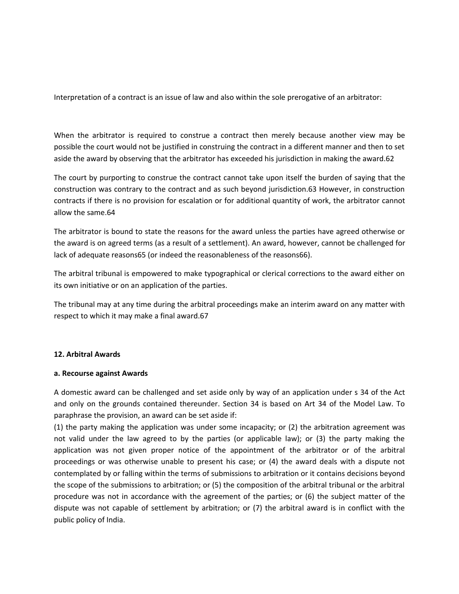Interpretation of a contract is an issue of law and also within the sole prerogative of an arbitrator:

When the arbitrator is required to construe a contract then merely because another view may be possible the court would not be justified in construing the contract in a different manner and then to set aside the award by observing that the arbitrator has exceeded his jurisdiction in making the award.62

The court by purporting to construe the contract cannot take upon itself the burden of saying that the construction was contrary to the contract and as such beyond jurisdiction.63 However, in construction contracts if there is no provision for escalation or for additional quantity of work, the arbitrator cannot allow the same.64

The arbitrator is bound to state the reasons for the award unless the parties have agreed otherwise or the award is on agreed terms (as a result of a settlement). An award, however, cannot be challenged for lack of adequate reasons65 (or indeed the reasonableness of the reasons66).

The arbitral tribunal is empowered to make typographical or clerical corrections to the award either on its own initiative or on an application of the parties.

The tribunal may at any time during the arbitral proceedings make an interim award on any matter with respect to which it may make a final award.67

#### **12. Arbitral Awards**

#### **a. Recourse against Awards**

A domestic award can be challenged and set aside only by way of an application under s 34 of the Act and only on the grounds contained thereunder. Section 34 is based on Art 34 of the Model Law. To paraphrase the provision, an award can be set aside if:

(1) the party making the application was under some incapacity; or (2) the arbitration agreement was not valid under the law agreed to by the parties (or applicable law); or (3) the party making the application was not given proper notice of the appointment of the arbitrator or of the arbitral proceedings or was otherwise unable to present his case; or (4) the award deals with a dispute not contemplated by or falling within the terms of submissions to arbitration or it contains decisions beyond the scope of the submissions to arbitration; or (5) the composition of the arbitral tribunal or the arbitral procedure was not in accordance with the agreement of the parties; or (6) the subject matter of the dispute was not capable of settlement by arbitration; or (7) the arbitral award is in conflict with the public policy of India.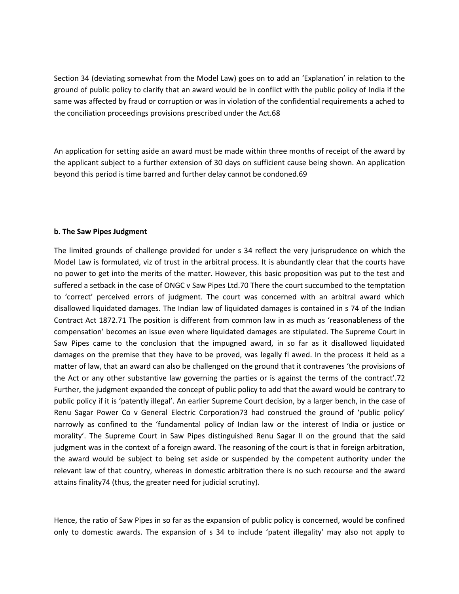Section 34 (deviating somewhat from the Model Law) goes on to add an 'Explanation' in relation to the ground of public policy to clarify that an award would be in conflict with the public policy of India if the same was affected by fraud or corruption or was in violation of the confidential requirements a ached to the conciliation proceedings provisions prescribed under the Act.68

An application for setting aside an award must be made within three months of receipt of the award by the applicant subject to a further extension of 30 days on sufficient cause being shown. An application beyond this period is time barred and further delay cannot be condoned.69

#### **b. The Saw Pipes Judgment**

The limited grounds of challenge provided for under s 34 reflect the very jurisprudence on which the Model Law is formulated, viz of trust in the arbitral process. It is abundantly clear that the courts have no power to get into the merits of the matter. However, this basic proposition was put to the test and suffered a setback in the case of ONGC v Saw Pipes Ltd.70 There the court succumbed to the temptation to 'correct' perceived errors of judgment. The court was concerned with an arbitral award which disallowed liquidated damages. The Indian law of liquidated damages is contained in s 74 of the Indian Contract Act 1872.71 The position is different from common law in as much as 'reasonableness of the compensation' becomes an issue even where liquidated damages are stipulated. The Supreme Court in Saw Pipes came to the conclusion that the impugned award, in so far as it disallowed liquidated damages on the premise that they have to be proved, was legally fl awed. In the process it held as a matter of law, that an award can also be challenged on the ground that it contravenes 'the provisions of the Act or any other substantive law governing the parties or is against the terms of the contract'.72 Further, the judgment expanded the concept of public policy to add that the award would be contrary to public policy if it is 'patently illegal'. An earlier Supreme Court decision, by a larger bench, in the case of Renu Sagar Power Co v General Electric Corporation73 had construed the ground of 'public policy' narrowly as confined to the 'fundamental policy of Indian law or the interest of India or justice or morality'. The Supreme Court in Saw Pipes distinguished Renu Sagar II on the ground that the said judgment was in the context of a foreign award. The reasoning of the court is that in foreign arbitration, the award would be subject to being set aside or suspended by the competent authority under the relevant law of that country, whereas in domestic arbitration there is no such recourse and the award attains finality74 (thus, the greater need for judicial scrutiny).

Hence, the ratio of Saw Pipes in so far as the expansion of public policy is concerned, would be confined only to domestic awards. The expansion of s 34 to include 'patent illegality' may also not apply to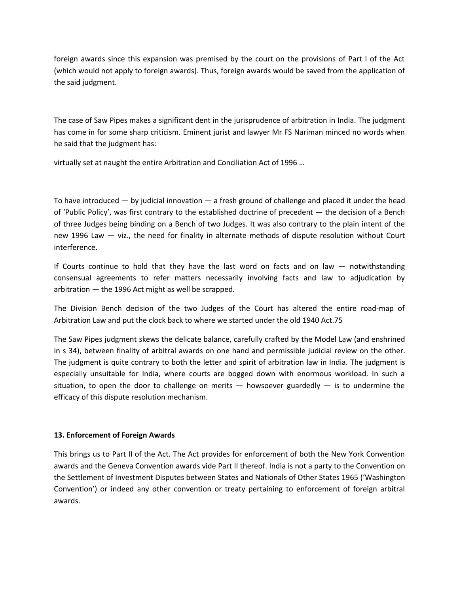foreign awards since this expansion was premised by the court on the provisions of Part I of the Act (which would not apply to foreign awards). Thus, foreign awards would be saved from the application of the said judgment.

The case of Saw Pipes makes a significant dent in the jurisprudence of arbitration in India. The judgment has come in for some sharp criticism. Eminent jurist and lawyer Mr FS Nariman minced no words when he said that the judgment has:

virtually set at naught the entire Arbitration and Conciliation Act of 1996 …

To have introduced — by judicial innovation — a fresh ground of challenge and placed it under the head of 'Public Policy', was first contrary to the established doctrine of precedent — the decision of a Bench of three Judges being binding on a Bench of two Judges. It was also contrary to the plain intent of the new 1996 Law — viz., the need for finality in alternate methods of dispute resolution without Court interference.

If Courts continue to hold that they have the last word on facts and on law — notwithstanding consensual agreements to refer matters necessarily involving facts and law to adjudication by arbitration — the 1996 Act might as well be scrapped.

The Division Bench decision of the two Judges of the Court has altered the entire road-map of Arbitration Law and put the clock back to where we started under the old 1940 Act.75

The Saw Pipes judgment skews the delicate balance, carefully crafted by the Model Law (and enshrined in s 34), between finality of arbitral awards on one hand and permissible judicial review on the other. The judgment is quite contrary to both the letter and spirit of arbitration law in India. The judgment is especially unsuitable for India, where courts are bogged down with enormous workload. In such a situation, to open the door to challenge on merits  $-$  howsoever guardedly  $-$  is to undermine the efficacy of this dispute resolution mechanism.

# **13. Enforcement of Foreign Awards**

This brings us to Part II of the Act. The Act provides for enforcement of both the New York Convention awards and the Geneva Convention awards vide Part II thereof. India is not a party to the Convention on the Settlement of Investment Disputes between States and Nationals of Other States 1965 ('Washington Convention') or indeed any other convention or treaty pertaining to enforcement of foreign arbitral awards.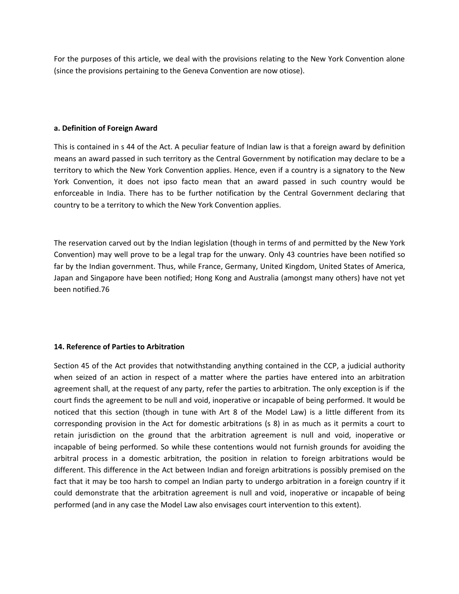For the purposes of this article, we deal with the provisions relating to the New York Convention alone (since the provisions pertaining to the Geneva Convention are now otiose).

#### **a. Definition of Foreign Award**

This is contained in s 44 of the Act. A peculiar feature of Indian law is that a foreign award by definition means an award passed in such territory as the Central Government by notification may declare to be a territory to which the New York Convention applies. Hence, even if a country is a signatory to the New York Convention, it does not ipso facto mean that an award passed in such country would be enforceable in India. There has to be further notification by the Central Government declaring that country to be a territory to which the New York Convention applies.

The reservation carved out by the Indian legislation (though in terms of and permitted by the New York Convention) may well prove to be a legal trap for the unwary. Only 43 countries have been notified so far by the Indian government. Thus, while France, Germany, United Kingdom, United States of America, Japan and Singapore have been notified; Hong Kong and Australia (amongst many others) have not yet been notified.76

# **14. Reference of Parties to Arbitration**

Section 45 of the Act provides that notwithstanding anything contained in the CCP, a judicial authority when seized of an action in respect of a matter where the parties have entered into an arbitration agreement shall, at the request of any party, refer the parties to arbitration. The only exception is if the court finds the agreement to be null and void, inoperative or incapable of being performed. It would be noticed that this section (though in tune with Art 8 of the Model Law) is a little different from its corresponding provision in the Act for domestic arbitrations (s 8) in as much as it permits a court to retain jurisdiction on the ground that the arbitration agreement is null and void, inoperative or incapable of being performed. So while these contentions would not furnish grounds for avoiding the arbitral process in a domestic arbitration, the position in relation to foreign arbitrations would be different. This difference in the Act between Indian and foreign arbitrations is possibly premised on the fact that it may be too harsh to compel an Indian party to undergo arbitration in a foreign country if it could demonstrate that the arbitration agreement is null and void, inoperative or incapable of being performed (and in any case the Model Law also envisages court intervention to this extent).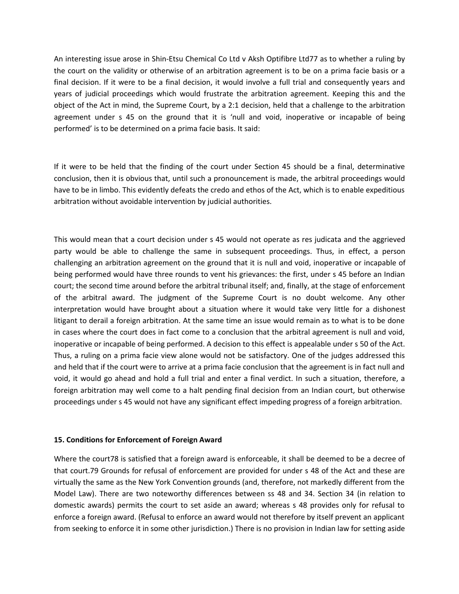An interesting issue arose in Shin-Etsu Chemical Co Ltd v Aksh Optifibre Ltd77 as to whether a ruling by the court on the validity or otherwise of an arbitration agreement is to be on a prima facie basis or a final decision. If it were to be a final decision, it would involve a full trial and consequently years and years of judicial proceedings which would frustrate the arbitration agreement. Keeping this and the object of the Act in mind, the Supreme Court, by a 2:1 decision, held that a challenge to the arbitration agreement under s 45 on the ground that it is 'null and void, inoperative or incapable of being performed' is to be determined on a prima facie basis. It said:

If it were to be held that the finding of the court under Section 45 should be a final, determinative conclusion, then it is obvious that, until such a pronouncement is made, the arbitral proceedings would have to be in limbo. This evidently defeats the credo and ethos of the Act, which is to enable expeditious arbitration without avoidable intervention by judicial authorities.

This would mean that a court decision under s 45 would not operate as res judicata and the aggrieved party would be able to challenge the same in subsequent proceedings. Thus, in effect, a person challenging an arbitration agreement on the ground that it is null and void, inoperative or incapable of being performed would have three rounds to vent his grievances: the first, under s 45 before an Indian court; the second time around before the arbitral tribunal itself; and, finally, at the stage of enforcement of the arbitral award. The judgment of the Supreme Court is no doubt welcome. Any other interpretation would have brought about a situation where it would take very little for a dishonest litigant to derail a foreign arbitration. At the same time an issue would remain as to what is to be done in cases where the court does in fact come to a conclusion that the arbitral agreement is null and void, inoperative or incapable of being performed. A decision to this effect is appealable under s 50 of the Act. Thus, a ruling on a prima facie view alone would not be satisfactory. One of the judges addressed this and held that if the court were to arrive at a prima facie conclusion that the agreement is in fact null and void, it would go ahead and hold a full trial and enter a final verdict. In such a situation, therefore, a foreign arbitration may well come to a halt pending final decision from an Indian court, but otherwise proceedings under s 45 would not have any significant effect impeding progress of a foreign arbitration.

# **15. Conditions for Enforcement of Foreign Award**

Where the court78 is satisfied that a foreign award is enforceable, it shall be deemed to be a decree of that court.79 Grounds for refusal of enforcement are provided for under s 48 of the Act and these are virtually the same as the New York Convention grounds (and, therefore, not markedly different from the Model Law). There are two noteworthy differences between ss 48 and 34. Section 34 (in relation to domestic awards) permits the court to set aside an award; whereas s 48 provides only for refusal to enforce a foreign award. (Refusal to enforce an award would not therefore by itself prevent an applicant from seeking to enforce it in some other jurisdiction.) There is no provision in Indian law for setting aside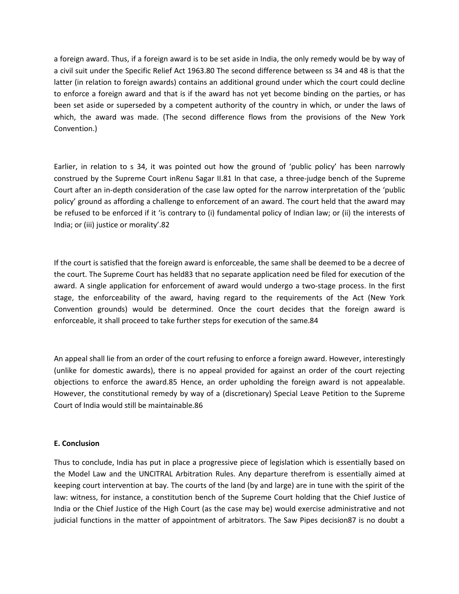a foreign award. Thus, if a foreign award is to be set aside in India, the only remedy would be by way of a civil suit under the Specific Relief Act 1963.80 The second difference between ss 34 and 48 is that the latter (in relation to foreign awards) contains an additional ground under which the court could decline to enforce a foreign award and that is if the award has not yet become binding on the parties, or has been set aside or superseded by a competent authority of the country in which, or under the laws of which, the award was made. (The second difference flows from the provisions of the New York Convention.)

Earlier, in relation to s 34, it was pointed out how the ground of 'public policy' has been narrowly construed by the Supreme Court inRenu Sagar II.81 In that case, a three-judge bench of the Supreme Court after an in-depth consideration of the case law opted for the narrow interpretation of the 'public policy' ground as affording a challenge to enforcement of an award. The court held that the award may be refused to be enforced if it 'is contrary to (i) fundamental policy of Indian law; or (ii) the interests of India; or (iii) justice or morality'.82

If the court is satisfied that the foreign award is enforceable, the same shall be deemed to be a decree of the court. The Supreme Court has held83 that no separate application need be filed for execution of the award. A single application for enforcement of award would undergo a two-stage process. In the first stage, the enforceability of the award, having regard to the requirements of the Act (New York Convention grounds) would be determined. Once the court decides that the foreign award is enforceable, it shall proceed to take further steps for execution of the same.84

An appeal shall lie from an order of the court refusing to enforce a foreign award. However, interestingly (unlike for domestic awards), there is no appeal provided for against an order of the court rejecting objections to enforce the award.85 Hence, an order upholding the foreign award is not appealable. However, the constitutional remedy by way of a (discretionary) Special Leave Petition to the Supreme Court of India would still be maintainable.86

# **E. Conclusion**

Thus to conclude, India has put in place a progressive piece of legislation which is essentially based on the Model Law and the UNCITRAL Arbitration Rules. Any departure therefrom is essentially aimed at keeping court intervention at bay. The courts of the land (by and large) are in tune with the spirit of the law: witness, for instance, a constitution bench of the Supreme Court holding that the Chief Justice of India or the Chief Justice of the High Court (as the case may be) would exercise administrative and not judicial functions in the matter of appointment of arbitrators. The Saw Pipes decision87 is no doubt a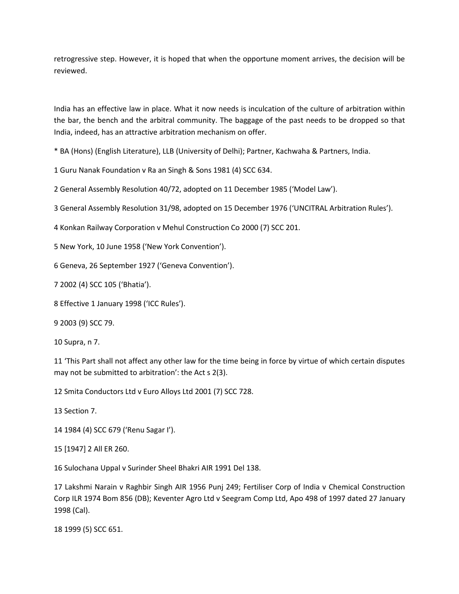retrogressive step. However, it is hoped that when the opportune moment arrives, the decision will be reviewed.

India has an effective law in place. What it now needs is inculcation of the culture of arbitration within the bar, the bench and the arbitral community. The baggage of the past needs to be dropped so that India, indeed, has an attractive arbitration mechanism on offer.

\* BA (Hons) (English Literature), LLB (University of Delhi); Partner, Kachwaha & Partners, India.

1 Guru Nanak Foundation v Ra an Singh & Sons 1981 (4) SCC 634.

2 General Assembly Resolution 40/72, adopted on 11 December 1985 ('Model Law').

3 General Assembly Resolution 31/98, adopted on 15 December 1976 ('UNCITRAL Arbitration Rules').

4 Konkan Railway Corporation v Mehul Construction Co 2000 (7) SCC 201.

5 New York, 10 June 1958 ('New York Convention').

6 Geneva, 26 September 1927 ('Geneva Convention').

7 2002 (4) SCC 105 ('Bhatia').

8 Effective 1 January 1998 ('ICC Rules').

9 2003 (9) SCC 79.

10 Supra, n 7.

11 'This Part shall not affect any other law for the time being in force by virtue of which certain disputes may not be submitted to arbitration': the Act s 2(3).

12 Smita Conductors Ltd v Euro Alloys Ltd 2001 (7) SCC 728.

13 Section 7.

14 1984 (4) SCC 679 ('Renu Sagar I').

15 [1947] 2 All ER 260.

16 Sulochana Uppal v Surinder Sheel Bhakri AIR 1991 Del 138.

17 Lakshmi Narain v Raghbir Singh AIR 1956 Punj 249; Fertiliser Corp of India v Chemical Construction Corp ILR 1974 Bom 856 (DB); Keventer Agro Ltd v Seegram Comp Ltd, Apo 498 of 1997 dated 27 January 1998 (Cal).

18 1999 (5) SCC 651.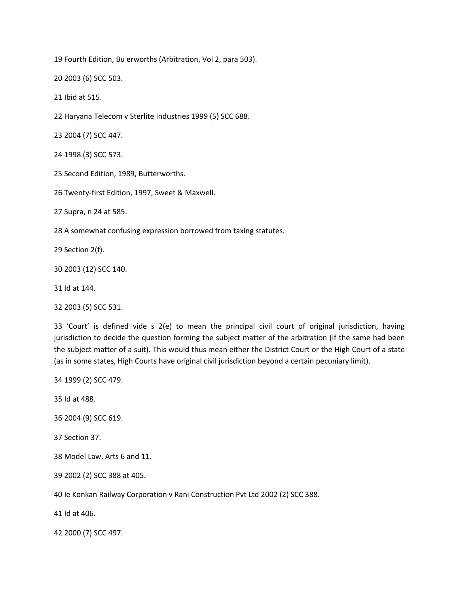19 Fourth Edition, Bu erworths (Arbitration, Vol 2, para 503).

20 2003 (6) SCC 503.

21 Ibid at 515.

22 Haryana Telecom v Sterlite Industries 1999 (5) SCC 688.

23 2004 (7) SCC 447.

24 1998 (3) SCC 573.

25 Second Edition, 1989, Butterworths.

26 Twenty-first Edition, 1997, Sweet & Maxwell.

27 Supra, n 24 at 585.

28 A somewhat confusing expression borrowed from taxing statutes.

29 Section 2(f).

30 2003 (12) SCC 140.

31 Id at 144.

32 2003 (5) SCC 531.

33 'Court' is defined vide s 2(e) to mean the principal civil court of original jurisdiction, having jurisdiction to decide the question forming the subject matter of the arbitration (if the same had been the subject matter of a suit). This would thus mean either the District Court or the High Court of a state (as in some states, High Courts have original civil jurisdiction beyond a certain pecuniary limit).

34 1999 (2) SCC 479.

35 Id at 488.

36 2004 (9) SCC 619.

37 Section 37.

38 Model Law, Arts 6 and 11.

39 2002 (2) SCC 388 at 405.

40 Ie Konkan Railway Corporation v Rani Construction Pvt Ltd 2002 (2) SCC 388.

41 Id at 406.

42 2000 (7) SCC 497.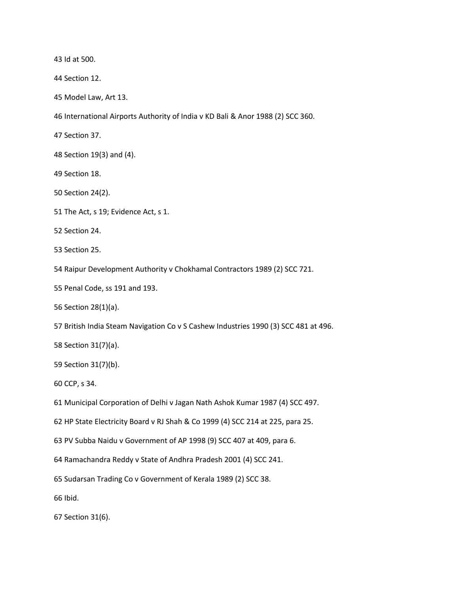43 Id at 500.

44 Section 12.

45 Model Law, Art 13.

46 International Airports Authority of India v KD Bali & Anor 1988 (2) SCC 360.

47 Section 37.

48 Section 19(3) and (4).

49 Section 18.

50 Section 24(2).

51 The Act, s 19; Evidence Act, s 1.

52 Section 24.

53 Section 25.

54 Raipur Development Authority v Chokhamal Contractors 1989 (2) SCC 721.

55 Penal Code, ss 191 and 193.

56 Section 28(1)(a).

57 British India Steam Navigation Co v S Cashew Industries 1990 (3) SCC 481 at 496.

58 Section 31(7)(a).

59 Section 31(7)(b).

60 CCP, s 34.

61 Municipal Corporation of Delhi v Jagan Nath Ashok Kumar 1987 (4) SCC 497.

62 HP State Electricity Board v RJ Shah & Co 1999 (4) SCC 214 at 225, para 25.

63 PV Subba Naidu v Government of AP 1998 (9) SCC 407 at 409, para 6.

64 Ramachandra Reddy v State of Andhra Pradesh 2001 (4) SCC 241.

65 Sudarsan Trading Co v Government of Kerala 1989 (2) SCC 38.

66 Ibid.

67 Section 31(6).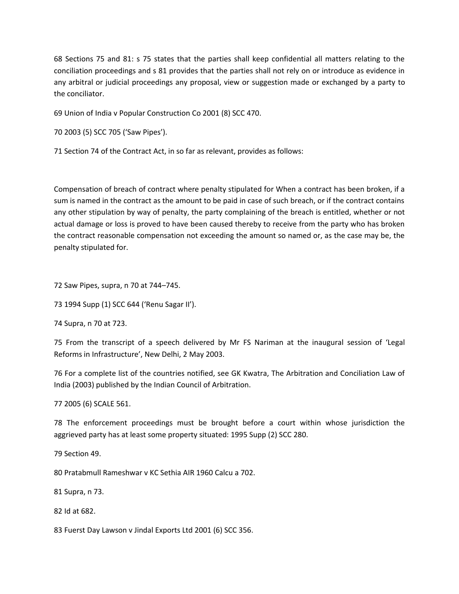68 Sections 75 and 81: s 75 states that the parties shall keep confidential all matters relating to the conciliation proceedings and s 81 provides that the parties shall not rely on or introduce as evidence in any arbitral or judicial proceedings any proposal, view or suggestion made or exchanged by a party to the conciliator.

69 Union of India v Popular Construction Co 2001 (8) SCC 470.

70 2003 (5) SCC 705 ('Saw Pipes').

71 Section 74 of the Contract Act, in so far as relevant, provides as follows:

Compensation of breach of contract where penalty stipulated for When a contract has been broken, if a sum is named in the contract as the amount to be paid in case of such breach, or if the contract contains any other stipulation by way of penalty, the party complaining of the breach is entitled, whether or not actual damage or loss is proved to have been caused thereby to receive from the party who has broken the contract reasonable compensation not exceeding the amount so named or, as the case may be, the penalty stipulated for.

72 Saw Pipes, supra, n 70 at 744–745.

73 1994 Supp (1) SCC 644 ('Renu Sagar II').

74 Supra, n 70 at 723.

75 From the transcript of a speech delivered by Mr FS Nariman at the inaugural session of 'Legal Reforms in Infrastructure', New Delhi, 2 May 2003.

76 For a complete list of the countries notified, see GK Kwatra, The Arbitration and Conciliation Law of India (2003) published by the Indian Council of Arbitration.

77 2005 (6) SCALE 561.

78 The enforcement proceedings must be brought before a court within whose jurisdiction the aggrieved party has at least some property situated: 1995 Supp (2) SCC 280.

79 Section 49.

80 Pratabmull Rameshwar v KC Sethia AIR 1960 Calcu a 702.

81 Supra, n 73.

82 Id at 682.

83 Fuerst Day Lawson v Jindal Exports Ltd 2001 (6) SCC 356.